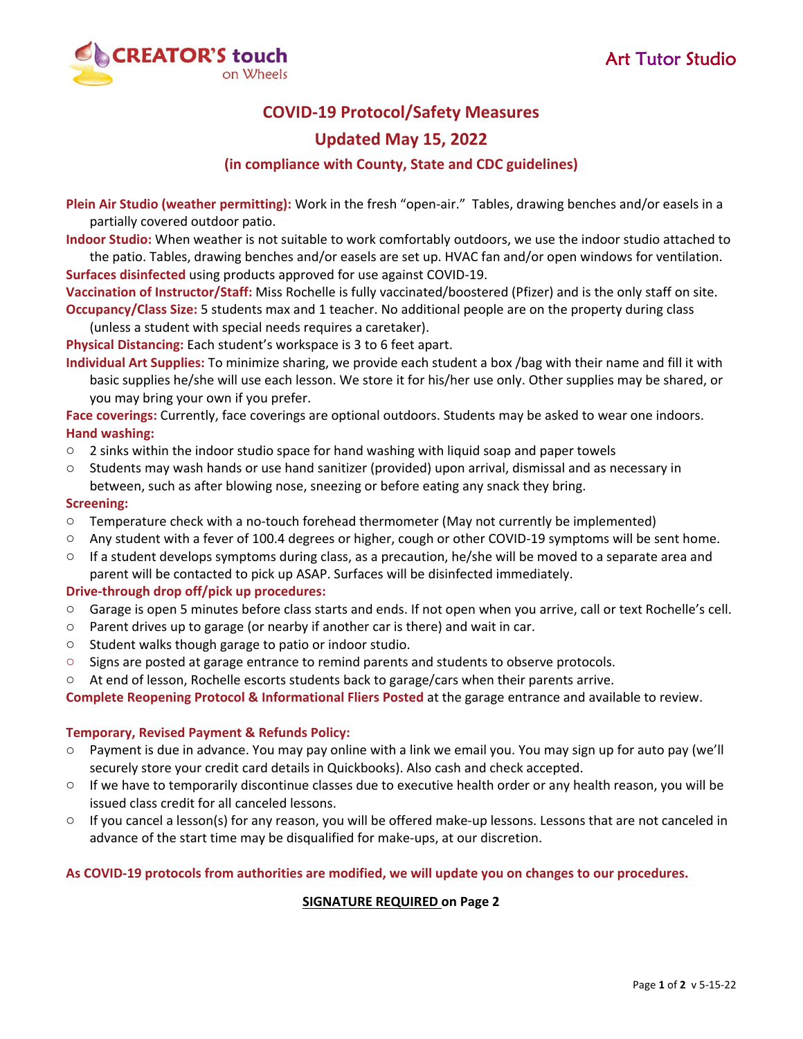

# **COVID‐19 Protocol/Safety Measures**

### **Updated May 15, 2022**

#### **(in compliance with County, State and CDC guidelines)**

**Plein Air Studio (weather permitting):** Work in the fresh "open‐air." Tables, drawing benches and/or easels in a partially covered outdoor patio.

**Indoor Studio:** When weather is not suitable to work comfortably outdoors, we use the indoor studio attached to the patio. Tables, drawing benches and/or easels are set up. HVAC fan and/or open windows for ventilation. **Surfaces disinfected** using products approved for use against COVID‐19.

**Vaccination of Instructor/Staff:** Miss Rochelle is fully vaccinated/boostered (Pfizer) and is the only staff on site. **Occupancy/Class Size:** 5 students max and 1 teacher. No additional people are on the property during class

(unless a student with special needs requires a caretaker).

**Physical Distancing:** Each student's workspace is 3 to 6 feet apart.

**Individual Art Supplies:** To minimize sharing, we provide each student a box /bag with their name and fill it with basic supplies he/she will use each lesson. We store it for his/her use only. Other supplies may be shared, or you may bring your own if you prefer.

**Face coverings:** Currently, face coverings are optional outdoors. Students may be asked to wear one indoors. **Hand washing:**

- $\circ$  2 sinks within the indoor studio space for hand washing with liquid soap and paper towels
- o Students may wash hands or use hand sanitizer (provided) upon arrival, dismissal and as necessary in between, such as after blowing nose, sneezing or before eating any snack they bring.

#### **Screening:**

- o Temperature check with a no‐touch forehead thermometer (May not currently be implemented)
- o Any student with a fever of 100.4 degrees or higher, cough or other COVID‐19 symptoms will be sent home.
- $\circ$  If a student develops symptoms during class, as a precaution, he/she will be moved to a separate area and parent will be contacted to pick up ASAP. Surfaces will be disinfected immediately.

#### **Drive‐through drop off/pick up procedures:**

- o Garage is open 5 minutes before class starts and ends. If not open when you arrive, call or text Rochelle's cell.
- o Parent drives up to garage (or nearby if another car is there) and wait in car.
- o Student walks though garage to patio or indoor studio.
- o Signs are posted at garage entrance to remind parents and students to observe protocols.
- o At end of lesson, Rochelle escorts students back to garage/cars when their parents arrive.

**Complete Reopening Protocol & Informational Fliers Posted** at the garage entrance and available to review.

#### **Temporary, Revised Payment & Refunds Policy:**

- o Payment is due in advance. You may pay online with a link we email you. You may sign up for auto pay (we'll securely store your credit card details in Quickbooks). Also cash and check accepted.
- o If we have to temporarily discontinue classes due to executive health order or any health reason, you will be issued class credit for all canceled lessons.
- If you cancel a lesson(s) for any reason, you will be offered make-up lessons. Lessons that are not canceled in advance of the start time may be disqualified for make‐ups, at our discretion.

#### As COVID-19 protocols from authorities are modified, we will update you on changes to our procedures.

#### **SIGNATURE REQUIRED on Page 2**